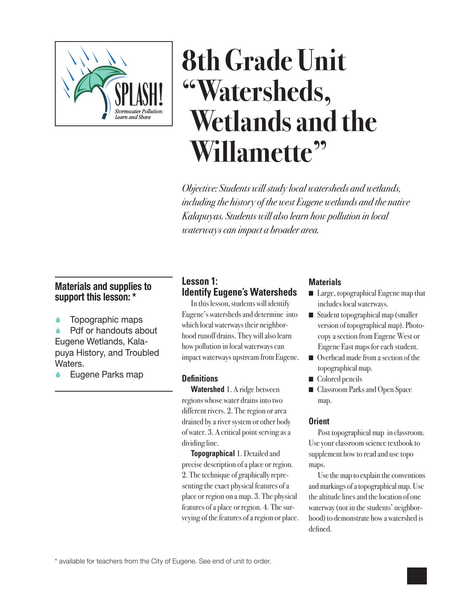

# **8th Grade Unit "Watersheds, Wetlands and the Willamette"**

*Objective: Students will study local watersheds and wetlands, including the history of the west Eugene wetlands and the native Kalapuyas. Students will also learn how pollution in local waterways can impact a broader area.*

# **Materials and supplies to support this lesson: \***

Topographic maps

 Pdf or handouts about Eugene Wetlands, Kalapuya History, and Troubled Waters.

Eugene Parks map

# **Lesson 1: Identify Eugene's Watersheds**

In this lesson, students will identify Eugene's watersheds and determine into which local waterways their neighborhood runoff drains. They will also learn how pollution in local waterways can impact waterways upstream from Eugene.

# **Definitions**

**Watershed** 1. A ridge between regions whose water drains into two different rivers. 2. The region or area drained by a river system or other body of water. 3. A critical point serving as a dividing line.

**Topographical** 1. Detailed and precise description of a place or region. 2. The technique of graphically representing the exact physical features of a place or region on a map. 3. The physical features of a place or region. 4. The surveying of the features of a region or place.

#### **Materials**

- Large, topographical Eugene map that includes local waterways.
- Student topographical map (smaller version of topographical map). Photocopy a section from Eugene West or Eugene East maps for each student.
- $\Box$  Overhead made from a section of the topographical map.
- $\Box$  Colored pencils
- **n** Classroom Parks and Open Space map.

# **Orient**

Post topographical map in classroom. Use your classroom science textbook to supplement how to read and use topo maps.

Use the map to explain the conventions and markings of a topographical map. Use the altitude lines and the location of one waterway (not in the students' neighborhood) to demonstrate how a watershed is defined.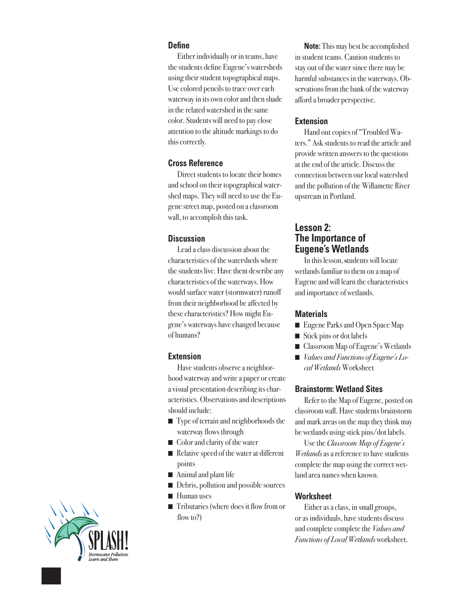#### **Define**

Either individually or in teams, have the students define Eugene's watersheds using their student topographical maps. Use colored pencils to trace over each waterway in its own color and then shade in the related watershed in the same color. Students will need to pay close attention to the altitude markings to do this correctly.

## **Cross Reference**

Direct students to locate their homes and school on their topographical watershed maps. They will need to use the Eugene street map, posted on a classroom wall, to accomplish this task.

# **Discussion**

Lead a class discussion about the characteristics of the watersheds where the students live. Have them describe any characteristics of the waterways. How would surface water (stormwater) runoff from their neighborhood be affected by these characteristics? How might Eugene's waterways have changed because of humans?

# **Extension**

Have students observe a neighborhood waterway and write a paper or create a visual presentation describing its characteristics. Observations and descriptions should include:

- Type of terrain and neighborhoods the waterway flows through
- Color and clarity of the water
- Relative speed of the water at different points
- $\blacksquare$  Animal and plant life
- n Debris, pollution and possible sources
- Human uses
- $\blacksquare$  Tributaries (where does it flow from or flow to?)

**Note:** This may best be accomplished in student teams. Caution students to stay out of the water since there may be harmful substances in the waterways. Observations from the bank of the waterway afford a broader perspective.

## **Extension**

Hand out copies of "Troubled Waters." Ask students to read the article and provide written answers to the questions at the end of the article. Discuss the connection between our local watershed and the pollution of the Willamette River upstream in Portland.

# **Lesson 2: The Importance of Eugene's Wetlands**

In this lesson, **s**tudents will locate wetlands familiar to them on a map of Eugene and will learn the characteristics and importance of wetlands.

#### **Materials**

- Eugene Parks and Open Space Map
- $\blacksquare$  Stick pins or dot labels
- Classroom Map of Eugene's Wetlands
- *Values and Functions of Eugene's Local Wetlands* Worksheet

#### **Brainstorm: Wetland Sites**

Refer to the Map of Eugene, posted on classroom wall. Have students brainstorm and mark areas on the map they think may be wetlands using stick pins/dot labels.

Use the *Classroom Map of Eugene's Wetlands* as a reference to have students complete the map using the correct wetland area names when known.

# **Worksheet**

Either as a class, in small groups, or as individuals, have students discuss and complete complete the *Values and Functions of Local Wetlands* worksheet.

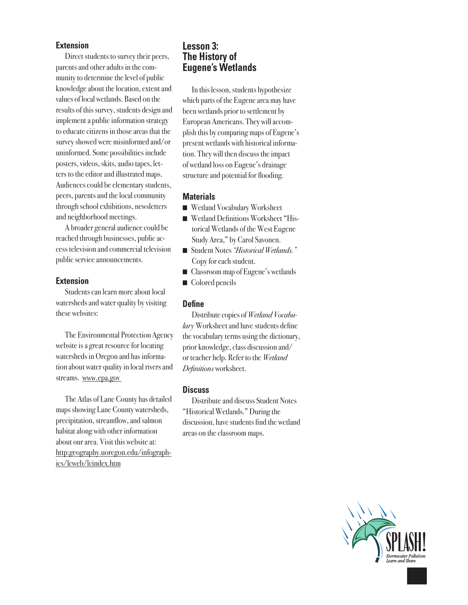#### **Extension**

Direct students to survey their peers, parents and other adults in the community to determine the level of public knowledge about the location, extent and values of local wetlands. Based on the results of this survey, students design and implement a public information strategy to educate citizens in those areas that the survey showed were misinformed and/or uninformed. Some possibilities include posters, videos, skits, audio tapes, letters to the editor and illustrated maps. Audiences could be elementary students, peers, parents and the local community through school exhibitions, newsletters and neighborhood meetings.

A broader general audience could be reached through businesses, public access television and commercial television public service announcements.

#### **Extension**

Students can learn more about local watersheds and water quality by visiting these websites:

The Environmental Protection Agency website is a great resource for locating watersheds in Oregon and has information about water quality in local rivers and streams. www.epa.gov

The Atlas of Lane County has detailed maps showing Lane County watersheds, precipitation, streamflow, and salmon habitat along with other information about our area. Visit this website at: http:geography.uoregon.edu/infographics/lcweb/lcindex.htm

## **Lesson 3: The History of Eugene's Wetlands**

In this lesson, students hypothesize which parts of the Eugene area may have been wetlands prior to settlement by European Americans. They will accomplish this by comparing maps of Eugene's present wetlands with historical information. They will then discuss the impact of wetland loss on Eugene's drainage structure and potential for flooding.

#### **Materials**

- Wetland Vocabulary Worksheet
- Wetland Definitions Worksheet "Historical Wetlands of the West Eugene Study Area," by Carol Savonen.
- n Student Notes *"Historical Wetlands."* Copy for each student.
- Classroom map of Eugene's wetlands
- Colored pencils

#### **Define**

Distribute copies of *Wetland Vocabulary* Worksheet and have students define the vocabulary terms using the dictionary, prior knowledge, class discussion and/ or teacher help. Refer to the *Wetland Definitions* worksheet.

#### **Discuss**

Distribute and discuss Student Notes "Historical Wetlands." During the discussion, have students find the wetland areas on the classroom maps.

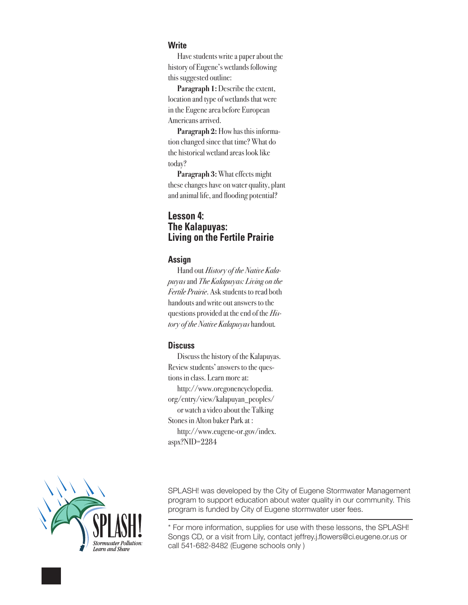#### **Write**

Have students write a paper about the history of Eugene's wetlands following this suggested outline:

**Paragraph 1:** Describe the extent, location and type of wetlands that were in the Eugene area before European Americans arrived.

**Paragraph 2:** How has this information changed since that time? What do the historical wetland areas look like today?

**Paragraph 3:** What effects might these changes have on water quality, plant and animal life, and flooding potential?

# **Lesson 4: The Kalapuyas: Living on the Fertile Prairie**

#### **Assign**

Hand out *History of the Native Kalapuyas* and *The Kalapuyas: Living on the Fertile Prairie*. Ask students to read both handouts and write out answers to the questions provided at the end of the *History of the Native Kalapuyas* handout*.*

#### **Discuss**

Discuss the history of the Kalapuyas. Review students' answers to the questions in class. Learn more at: http://www.oregonencyclopedia. org/entry/view/kalapuyan\_peoples/ or watch a video about the Talking Stones in Alton baker Park at : http://www.eugene-or.gov/index. aspx?NID=2284



SPLASH! was developed by the City of Eugene Stormwater Management program to support education about water quality in our community. This program is funded by City of Eugene stormwater user fees.

\* For more information, supplies for use with these lessons, the SPLASH! Songs CD, or a visit from Lily, contact jeffrey.j.flowers@ci.eugene.or.us or call 541-682-8482 (Eugene schools only )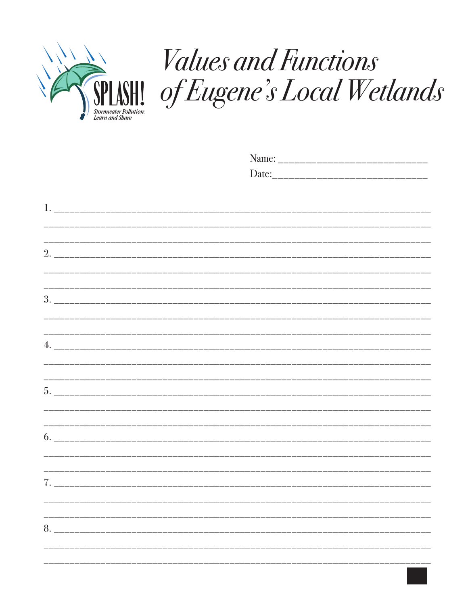

# Values and Functions<br>SPLASHI of Eugene's Local Wetlands

| 8. |  |  |  |
|----|--|--|--|
|    |  |  |  |
|    |  |  |  |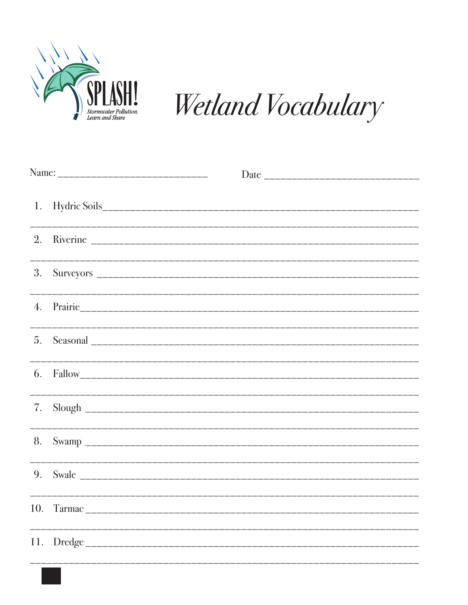

Wetland Vocabulary

| 1.               |  |  |  |  |
|------------------|--|--|--|--|
|                  |  |  |  |  |
| 3.               |  |  |  |  |
| $\overline{4}$ . |  |  |  |  |
| 5 <sub>1</sub>   |  |  |  |  |
|                  |  |  |  |  |
| 7.               |  |  |  |  |
| 8.               |  |  |  |  |
|                  |  |  |  |  |
|                  |  |  |  |  |
|                  |  |  |  |  |
|                  |  |  |  |  |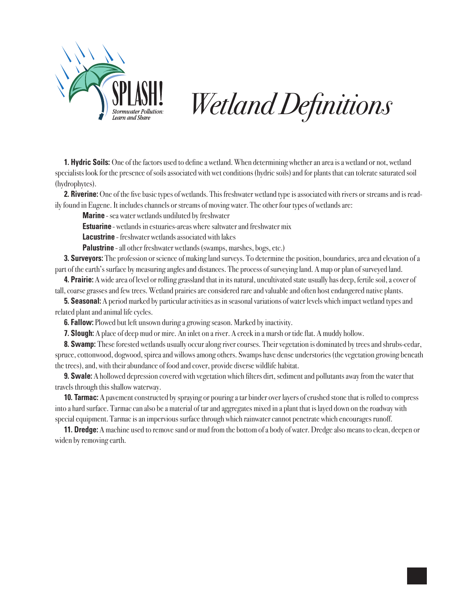

# *Wetland Definitions*

**1. Hydric Soils:** One of the factors used to define a wetland. When determining whether an area is a wetland or not, wetland specialists look for the presence of soils associated with wet conditions (hydric soils) and for plants that can tolerate saturated soil (hydrophytes).

**2. Riverine:** One of the five basic types of wetlands. This freshwater wetland type is associated with rivers or streams and is readily found in Eugene. It includes channels or streams of moving water. The other four types of wetlands are:

**Marine** - sea water wetlands undiluted by freshwater

**Estuarine** - wetlands in estuaries-areas where saltwater and freshwater mix

**Lacustrine** - freshwater wetlands associated with lakes

**Palustrine** - all other freshwater wetlands (swamps, marshes, bogs, etc.)

**3. Surveyors:** The profession or science of making land surveys. To determine the position, boundaries, area and elevation of a part of the earth's surface by measuring angles and distances. The process of surveying land. A map or plan of surveyed land.

**4. Prairie:** A wide area of level or rolling grassland that in its natural, uncultivated state usually has deep, fertile soil, a cover of tall, coarse grasses and few trees. Wetland prairies are considered rare and valuable and often host endangered native plants.

**5. Seasonal:** A period marked by particular activities as in seasonal variations of water levels which impact wetland types and related plant and animal life cycles.

**6. Fallow:** Plowed but left unsown during a growing season. Marked by inactivity.

**7. Slough:** A place of deep mud or mire. An inlet on a river. A creek in a marsh or tide flat. A muddy hollow.

**8. Swamp:** These forested wetlands usually occur along river courses. Their vegetation is dominated by trees and shrubs-cedar, spruce, cottonwood, dogwood, spirea and willows among others. Swamps have dense understories (the vegetation growing beneath the trees), and, with their abundance of food and cover, provide diverse wildlife habitat.

**9. Swale:** A hollowed depression covered with vegetation which filters dirt, sediment and pollutants away from the water that travels through this shallow waterway.

**10. Tarmac:** A pavement constructed by spraying or pouring a tar binder over layers of crushed stone that is rolled to compress into a hard surface. Tarmac can also be a material of tar and aggregates mixed in a plant that is layed down on the roadway with special equipment. Tarmac is an impervious surface through which rainwater cannot penetrate which encourages runoff.

**11. Dredge:** A machine used to remove sand or mud from the bottom of a body of water. Dredge also means to clean, deepen or widen by removing earth.